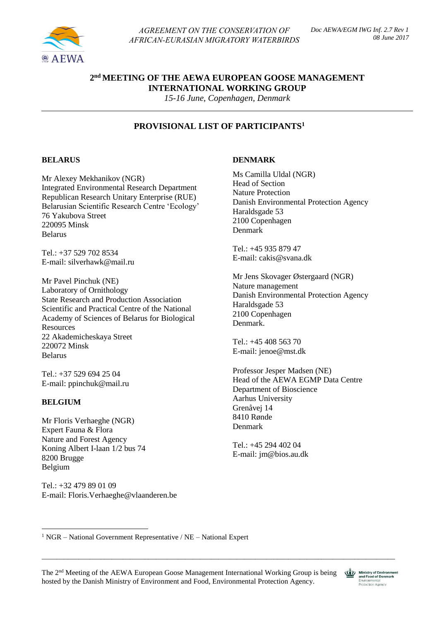

*AGREEMENT ON THE CONSERVATION OF AFRICAN-EURASIAN MIGRATORY WATERBIRDS* 

# **2 nd MEETING OF THE AEWA EUROPEAN GOOSE MANAGEMENT INTERNATIONAL WORKING GROUP**

*15-16 June, Copenhagen, Denmark*

# **PROVISIONAL LIST OF PARTICIPANTS<sup>1</sup>**

# **BELARUS**

Mr Alexey Mekhanikov (NGR) Integrated Environmental Research Department Republican Research Unitary Enterprise (RUE) Belarusian Scientific Research Centre 'Ecology' 76 Yakubova Street 220095 Minsk Belarus

Tel.: +37 529 702 8534 E-mail: [silverhawk@mail.ru](mailto:silverhawk@mail.ru)

Mr Pavel Pinchuk (NE) Laboratory of Ornithology State Research and Production Association Scientific and Practical Centre of the National Academy of Sciences of Belarus for Biological **Resources** 22 Akademicheskaya Street 220072 Minsk Belarus

Tel.: +37 529 694 25 04 E-mail: [ppinchuk@mail.ru](mailto:ppinchuk@mail.ru)

# **BELGIUM**

1

Mr Floris Verhaeghe (NGR) Expert Fauna & Flora Nature and Forest Agency Koning Albert I-laan 1/2 bus 74 8200 Brugge Belgium

Tel.: +32 479 89 01 09 E-mail: Floris.Verhaeghe@vlaanderen.be

#### **DENMARK**

Ms Camilla Uldal (NGR) Head of Section Nature Protection Danish Environmental Protection Agency Haraldsgade 53 2100 Copenhagen Denmark

 $Tel + 4593587947$ E-mail: [cakis@svana.dk](mailto:cakis@svana.dk)

Mr Jens Skovager Østergaard (NGR) Nature management Danish Environmental Protection Agency Haraldsgade 53 2100 Copenhagen Denmark.

Tel.: +45 408 563 70 E-mail: jenoe@mst.dk

Professor Jesper Madsen (NE) Head of the AEWA EGMP Data Centre Department of Bioscience Aarhus University Grenåvej 14 8410 Rønde Denmark

Tel.: +45 294 402 04 E-mail: [jm@bios.au.dk](mailto:jm@bios.au.dk)

 $1$  NGR – National Government Representative / NE – National Expert

\_\_\_\_\_\_\_\_\_\_\_\_\_\_\_\_\_\_\_\_\_\_\_\_\_\_\_\_\_\_\_\_\_\_\_\_\_\_\_\_\_\_\_\_\_\_\_\_\_\_\_\_\_\_\_\_\_\_\_\_\_\_\_\_\_\_\_\_\_\_\_\_\_\_\_\_\_\_\_\_\_\_\_\_\_\_\_\_\_\_\_\_\_\_\_\_

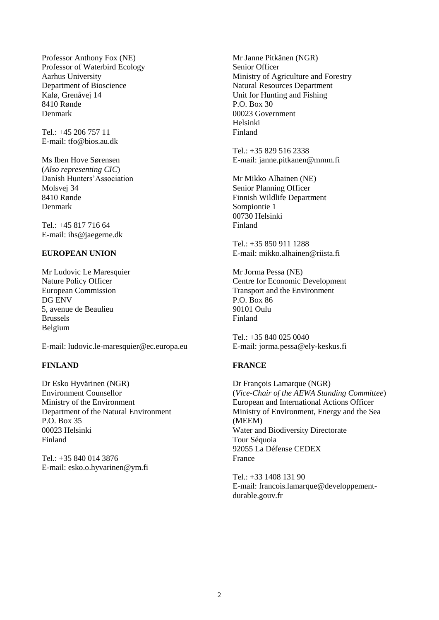Professor Anthony Fox (NE) Professor of Waterbird Ecology Aarhus University Department of Bioscience Kalø, Grenåvej 14 8410 Rønde Denmark

Tel.: +45 206 757 11 E-mail: [tfo@bios.au.dk](mailto:tfo@bios.au.dk)

Ms Iben Hove Sørensen (*Also representing CIC*) Danish Hunters'Association Molsvej 34 8410 Rønde Denmark

Tel.: +45 817 716 64 E-mail: [ihs@jaegerne.dk](mailto:ihs@jaegerne.dk)

# **EUROPEAN UNION**

Mr Ludovic Le Maresquier Nature Policy Officer European Commission DG ENV 5, avenue de Beaulieu Brussels Belgium

E-mail: ludovic.le-maresquier@ec.europa.eu

# **FINLAND**

Dr Esko Hyvärinen (NGR) Environment Counsellor Ministry of the Environment Department of the Natural Environment P.O. Box 35 00023 Helsinki Finland

Tel.: +35 840 014 3876 E-mail: [esko.o.hyvarinen@ym.fi](mailto:esko.o.hyvarinen@ym.fi)

Mr Janne Pitkänen (NGR) Senior Officer Ministry of Agriculture and Forestry Natural Resources Department Unit for Hunting and Fishing P.O. Box 30 00023 Government Helsinki Finland

Tel.: +35 829 516 2338 E-mail: [janne.pitkanen@mmm.fi](mailto:janne.pitkanen@mmm.fi)

Mr Mikko Alhainen (NE) Senior Planning Officer Finnish Wildlife Department Sompiontie 1 00730 Helsinki Finland

Tel.: +35 850 911 1288 E-mail: [mikko.alhainen@riista.fi](mailto:mikko.alhainen@riista.fi)

Mr Jorma Pessa (NE) Centre for Economic Development Transport and the Environment P.O. Box 86 90101 Oulu Finland

Tel.: +35 840 025 0040 E-mail: [jorma.pessa@ely-keskus.fi](mailto:orma.pessa@ely-keskus.fi)

### **FRANCE**

Dr François Lamarque (NGR) (*Vice-Chair of the AEWA Standing Committee*) European and International Actions Officer Ministry of Environment, Energy and the Sea (MEEM) Water and Biodiversity Directorate Tour Séquoia 92055 La Défense CEDEX France

Tel.: +33 1408 131 90 E-mail: [francois.lamarque@developpement](mailto:francois.lamarque@developpement-durable.gouv.fr)[durable.gouv.fr](mailto:francois.lamarque@developpement-durable.gouv.fr)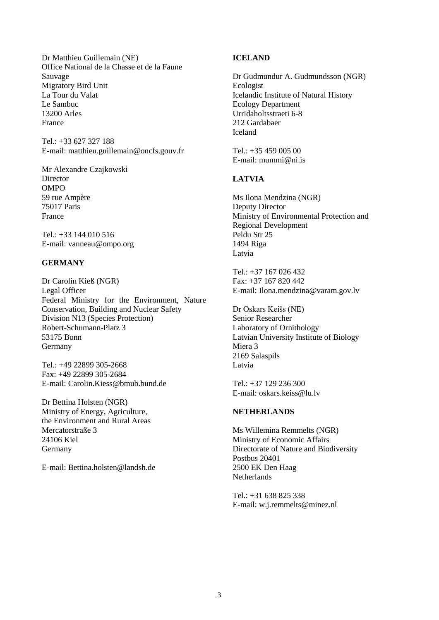Dr Matthieu Guillemain (NE) Office National de la Chasse et de la Faune Sauvage Migratory Bird Unit La Tour du Valat Le Sambuc 13200 Arles France

Tel.: +33 627 327 188 E-mail: [matthieu.guillemain@oncfs.gouv.fr](mailto:matthieu.guillemain@oncfs.gouv.fr)

Mr Alexandre Czajkowski **Director** OMPO 59 rue Ampère 75017 Paris France

Tel.: +33 144 010 516 E-mail: vanneau@ompo.org

# **GERMANY**

Dr Carolin Kieß (NGR) Legal Officer Federal Ministry for the Environment, Nature Conservation, Building and Nuclear Safety Division N13 (Species Protection) Robert-Schumann-Platz 3 53175 Bonn Germany

Tel.: +49 22899 305-2668 Fax: +49 22899 305-2684 E-mail: [Carolin.Kiess@bmub.bund.de](mailto:Carolin.Kiess@bmub.bund.de)

Dr Bettina Holsten (NGR) Ministry of Energy, Agriculture, the Environment and Rural Areas Mercatorstraße 3 24106 Kiel Germany

E-mail: Bettina.holsten@landsh.de

# **ICELAND**

Dr Gudmundur A. Gudmundsson (NGR) Ecologist Icelandic Institute of Natural History Ecology Department Urridaholtsstraeti 6-8 212 Gardabaer Iceland

Tel.: +35 459 005 00 E-mail: [mummi@ni.is](mailto:mummi@ni.is)

# **LATVIA**

Ms Ilona Mendzina (NGR) Deputy Director Ministry of Environmental Protection and Regional Development Peldu Str 25 1494 Riga Latvia

Tel $\cdot$  +37 167 026 432 Fax: +37 167 820 442 E-mail: Ilona.mendzina@varam.gov.lv

Dr Oskars Keišs (NE) Senior Researcher Laboratory of Ornithology Latvian University Institute of Biology Miera 3 2169 Salaspils Latvia

Tel.: +37 129 236 300 E-mail: [oskars.keiss@lu.lv](mailto:oskars.keiss@lu.lv)

# **NETHERLANDS**

Ms Willemina Remmelts (NGR) Ministry of Economic Affairs Directorate of Nature and Biodiversity Postbus 20401 2500 EK Den Haag Netherlands

Tel.: +31 638 825 338 E-mail: [w.j.remmelts@minez.nl](mailto:w.j.remmelts@minez.nl)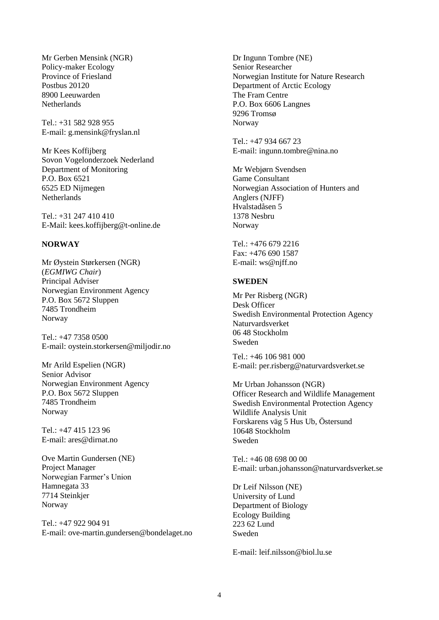Mr Gerben Mensink (NGR) Policy-maker Ecology Province of Friesland Postbus 20120 8900 Leeuwarden **Netherlands** 

 $Tel \cdot +31$  582 928 955 E-mail: [g.mensink@fryslan.nl](mailto:g.mensink@fryslan.nl)

Mr Kees Koffijberg Sovon Vogelonderzoek Nederland Department of Monitoring P.O. Box 6521 6525 ED Nijmegen **Netherlands** 

Tel.: +31 247 410 410 E-Mail: kees.koffijberg@t-online.de

### **NORWAY**

Mr Øystein Størkersen (NGR) (*EGMIWG Chair*) Principal Adviser Norwegian Environment Agency P.O. Box 5672 Sluppen 7485 Trondheim Norway

Tel.: +47 7358 0500 E-mail: [oystein.storkersen@miljodir.no](mailto:oystein.storkersen@miljodir.no)

Mr Arild Espelien (NGR) Senior Advisor Norwegian Environment Agency P.O. Box 5672 Sluppen 7485 Trondheim Norway

Tel.: +47 415 123 96 E-mail: [ares@dirnat.no](mailto:ares@dirnat.no)

Ove Martin Gundersen (NE) Project Manager Norwegian Farmer's Union Hamnegata 33 7714 Steinkjer Norway

Tel.: +47 922 904 91 E-mail: ove-martin.gundersen@bondelaget.no Dr Ingunn Tombre (NE) Senior Researcher Norwegian Institute for Nature Research Department of Arctic Ecology The Fram Centre P.O. Box 6606 Langnes 9296 Tromsø Norway

Tel.: +47 934 667 23 E-mail: [ingunn.tombre@nina.no](mailto:ingunn.tombre@nina.no)

Mr Webjørn Svendsen Game Consultant Norwegian Association of Hunters and Anglers (NJFF) Hvalstadåsen 5 1378 Nesbru Norway

Tel.: +476 679 2216 Fax: +476 690 1587 E-mail: ws@njff.no

### **SWEDEN**

Mr Per Risberg (NGR) Desk Officer Swedish Environmental Protection Agency Naturvardsverket 06 48 Stockholm Sweden

Tel.: +46 106 981 000 E-mail: [per.risberg@naturvardsverket.se](mailto:per.risberg@naturvardsverket.se)

Mr Urban Johansson (NGR) Officer Research and Wildlife Management Swedish Environmental Protection Agency Wildlife Analysis Unit Forskarens väg 5 Hus Ub, Östersund 10648 Stockholm Sweden

Tel.: +46 08 698 00 00 E-mail: [urban.johansson@naturvardsverket.se](mailto:urban.johansson@naturvardsverket.se)

Dr Leif Nilsson (NE) University of Lund Department of Biology Ecology Building 223 62 Lund Sweden

E-mail: [leif.nilsson@biol.lu.se](mailto:leif.nilsson@biol.lu.se)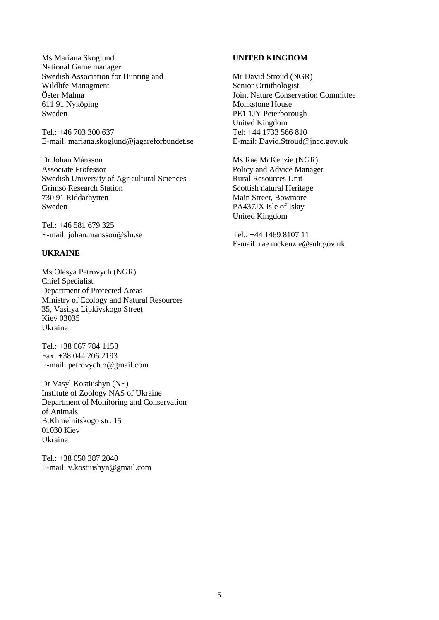Ms Mariana Skoglund National Game manager Swedish Association for Hunting and Wildlife Managment Öster Malma 611 91 Nyköping Sweden

Tel.: +46 703 300 637 E-mail: [mariana.skoglund@jagareforbundet.se](mailto:mariana.skoglund@jagareforbundet.se)

Dr Johan Månsson Associate Professor Swedish University of Agricultural Sciences Grimsö Research Station 730 91 Riddarhytten Sweden

Tel.: +46 581 679 325 E-mail: [johan.mansson@slu.se](mailto:johan.mansson@slu.se)

# **UKRAINE**

Ms Olesya Petrovych (NGR) Chief Specialist Department of Protected Areas Ministry of Ecology and Natural Resources 35, Vasilya Lipkivskogo Street Kiev 03035 Ukraine

Tel.: +38 067 784 1153 Fax: +38 044 206 2193 E-mail: [petrovych.o@gmail.com](mailto:petrovych.o@gmail.com)

Dr Vasyl Kostiushyn (NE) Institute of Zoology NAS of Ukraine Department of Monitoring and Conservation of Animals B.Khmelnitskogo str. 15 01030 Kiev Ukraine

Tel.: +38 050 387 2040 E-mail: [v.kostiushyn@gmail.com](mailto:v.kostiushyn@gmail.com)

### **UNITED KINGDOM**

Mr David Stroud (NGR) Senior Ornithologist Joint Nature Conservation Committee Monkstone House PE1 1JY Peterborough United Kingdom Tel: +44 1733 566 810 E-mail: David.Stroud@jncc.gov.uk

Ms Rae McKenzie (NGR) Policy and Advice Manager Rural Resources Unit Scottish natural Heritage Main Street, Bowmore PA437JX Isle of Islay United Kingdom

Tel.: +44 1469 8107 11 E-mail: rae.mckenzie@snh.gov.uk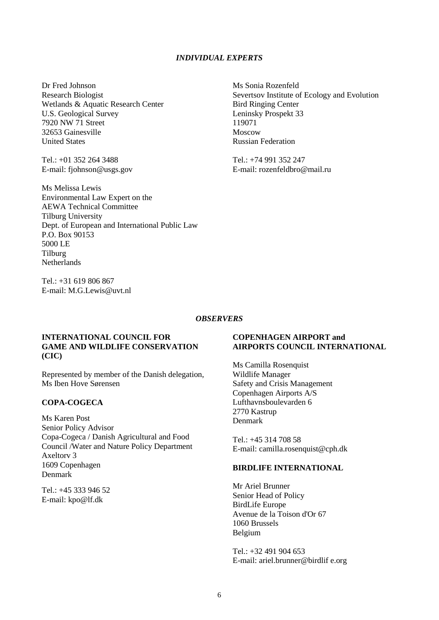#### *INDIVIDUAL EXPERTS*

Dr Fred Johnson Research Biologist Wetlands & Aquatic Research Center U.S. Geological Survey 7920 NW 71 Street 32653 Gainesville United States

Tel.: +01 352 264 3488 E-mail: [fjohnson@usgs.gov](mailto:fjohnson@usgs.gov)

Ms Melissa Lewis Environmental Law Expert on the AEWA Technical Committee Tilburg University Dept. of European and International Public Law P.O. Box 90153 5000 LE Tilburg Netherlands

Tel.: +31 619 806 867 E-mail: M.G.Lewis@uvt.nl Ms Sonia Rozenfeld Severtsov Institute of Ecology and Evolution Bird Ringing Center Leninsky Prospekt 33 119071 Moscow Russian Federation

Tel.: +74 991 352 247 E-mail: rozenfeldbro@mail.ru

#### *OBSERVERS*

#### **INTERNATIONAL COUNCIL FOR GAME AND WILDLIFE CONSERVATION (CIC)**

Represented by member of the Danish delegation, Ms Iben Hove Sørensen

# **COPA-COGECA**

Ms Karen Post Senior Policy Advisor Copa-Cogeca / Danish Agricultural and Food Council /Water and Nature Policy Department Axeltorv 3 1609 Copenhagen Denmark

Tel.: +45 333 946 52 E-mail: [kpo@lf.dk](mailto:kpo@lf.dk)

### **COPENHAGEN AIRPORT and AIRPORTS COUNCIL INTERNATIONAL**

Ms Camilla Rosenquist Wildlife Manager Safety and Crisis Management Copenhagen Airports A/S Lufthavnsboulevarden 6 2770 Kastrup Denmark

Tel.: +45 314 708 58 E-mail: camilla.rosenquist@cph.dk

#### **BIRDLIFE INTERNATIONAL**

Mr Ariel Brunner Senior Head of Policy BirdLife Europe Avenue de la Toison d'Or 67 1060 Brussels Belgium

Tel.: +32 491 904 653 E-mail: ariel.brunner@birdlif e.org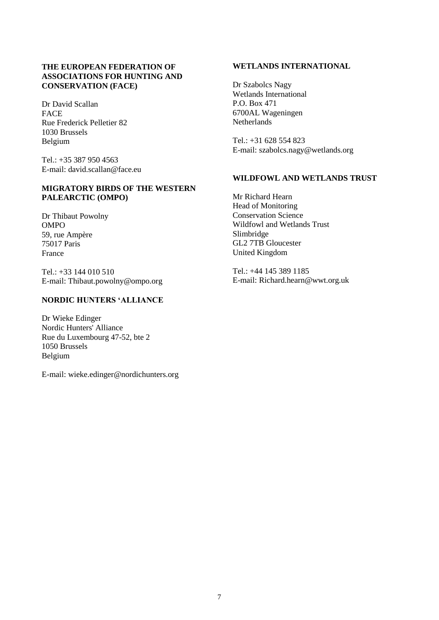# **THE EUROPEAN FEDERATION OF ASSOCIATIONS FOR HUNTING AND CONSERVATION (FACE)**

Dr David Scallan FACE Rue Frederick Pelletier 82 1030 Brussels Belgium

Tel.: +35 387 950 4563 E-mail: [david.scallan@face.eu](mailto:david.scallan@face.eu)

### **MIGRATORY BIRDS OF THE WESTERN PALEARCTIC (OMPO)**

Dr Thibaut Powolny OMPO 59, rue Ampère 75017 Paris France

 $Tel \cdot +33144010510$ E-mail: [Thibaut.powolny@ompo.org](mailto:Thibaut.powolny@ompo.org)

# **NORDIC HUNTERS 'ALLIANCE**

Dr Wieke Edinger Nordic Hunters' Alliance Rue du Luxembourg 47-52, bte 2 1050 Brussels Belgium

E-mail: wieke.edinger@nordichunters.org

# **WETLANDS INTERNATIONAL**

Dr Szabolcs Nagy Wetlands International P.O. Box 471 6700AL Wageningen Netherlands

Tel.: +31 628 554 823 E-mail: [szabolcs.nagy@wetlands.org](mailto:szabolcs.nagy@wetlands.org)

# **WILDFOWL AND WETLANDS TRUST**

Mr Richard Hearn Head of Monitoring Conservation Science Wildfowl and Wetlands Trust Slimbridge GL2 7TB Gloucester United Kingdom

Tel.: +44 145 389 1185 E-mail: [Richard.hearn@wwt.org.uk](mailto:Richard.hearn@wwt.org.uk)